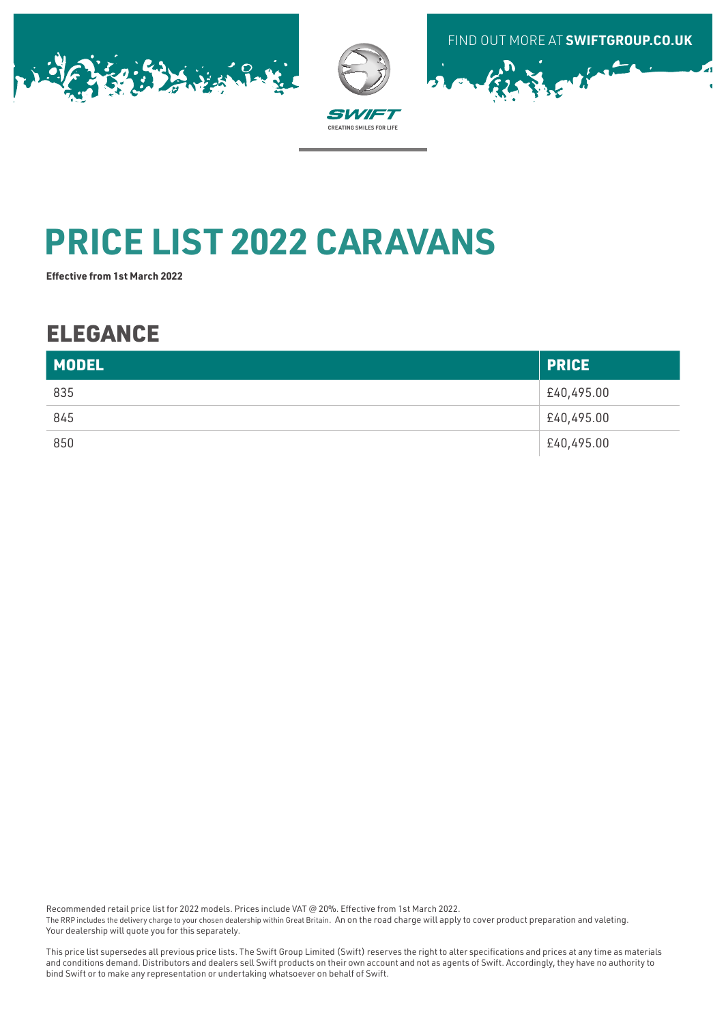





# **PRICE LIST 2022 CARAVANS**

**Effective from 1st March 2022**

## ELEGANCE

| <b>MODEL</b> | <b>PRICE</b> |
|--------------|--------------|
| 835          | £40,495.00   |
| 845          | £40,495.00   |
| 850          | £40,495.00   |

Recommended retail price list for 2022 models. Prices include VAT @ 20%. Effective from 1st March 2022.

The RRP includes the delivery charge to your chosen dealership within Great Britain. An on the road charge will apply to cover product preparation and valeting. Your dealership will quote you for this separately.

This price list supersedes all previous price lists. The Swift Group Limited (Swift) reserves the right to alter specifications and prices at any time as materials and conditions demand. Distributors and dealers sell Swift products on their own account and not as agents of Swift. Accordingly, they have no authority to bind Swift or to make any representation or undertaking whatsoever on behalf of Swift.